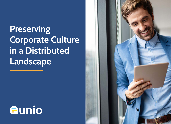Preserving Corporate Culture in a Distributed Landscape



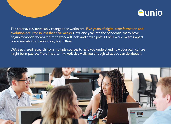

The coronavirus irrevocably changed the workplace. Five years of digital transformation and evolution occurred in less than five weeks. Now, one year into the pandemic, many have begun to wonder how a return to work will look, and how a post-COVID world might impact communication, collaboration, and culture.

We've gathered research from multiple sources to help you understand how your own culture might be impacted. More importantly, we'll also walk you through what you can do about it.

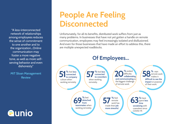"A less-interconnected network of relationships [among employees reduces](https://sloanreview.mit.edu/article/sustaining-employee-networks-in-the-virtual-workplace/)  the sense of commitment to one another and to the organization...Online communication may foster a more negative tone, as well as more selfserving behavior and even dishonesty."

MIT Sloan Management Review

**Aunio** 

# People Are Feeling **Disconnected**

Unfortunately, for all its benefits, distributed work suffers from just as many problems. In businesses that have not yet gotten a handle on remote communication, employees may feel increasingly isolated and disillusioned. And even for those businesses that have made an effort to address this, there are multiple unexpected roadblocks.

#### Of Employees...

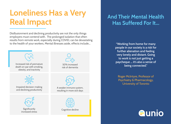# Loneliness Has a Very Real Impact

Disillusionment and declining productivity are not the only things employers must contend with. The prolonged isolation that often results from remote work, especially during COVID, can be devastating to the health of your workers. Mental illnesses aside, effects include...



#### And Their Mental Health Has Suffered For It...

"Working from home for many [people in our society is a risk for](https://sloanreview.mit.edu/article/sustaining-employee-networks-in-the-virtual-workplace/)  further alienation and feeling very lonely and distant. Going to work is not just getting a paycheque … it's also a sense of being connected."

Roger McIntyre, Professor of Psychiatry & Pharmacology, University of Toronto

**a**unio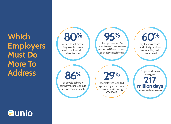**Which Employers** Must Do More To Address

#### *<u>aunio</u>*



say their workplace [productivity has been](https://www.mindsharepartners.org/mentalhealthatworkreport)  impacted by their mental health %

Employers lose an average of a year to absenteeism [217](https://www.businessgrouphealth.org/pub/?id=F3139C4C-2354-D714-512D-355C09DDCBC4)  [million days](https://www.businessgrouphealth.org/pub/?id=F3139C4C-2354-D714-512D-355C09DDCBC4)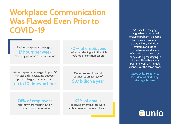# Workplace Communication Was Flawed Even Prior to COVID-19

Businesses spent an average of

[17 hours per week](http://https://www.quantifiedcommunications.com/blog/how-much-of-our-workday-do-we-spend-communicating)  clarifying previous communication

#### [70% of employees](https://netstorage.ringcentral.com/documents/connected_workplace.pdf)

had issues dealing with the high volume of communication

Workers spent an average of up to 60 minutes a day navigating between apps and toggled between them [up to 10 times an hour](https://netstorage.ringcentral.com/documents/connected_workplace.pdf) 

Miscommunication cost businesses an average of [\\$37 billion a year](https://www.provokemedia.com/latest/article/the-cost-of-poor-communications)

"We see [messaging] fatigue becoming a real [growing problem, triggered](https://sloanreview.mit.edu/article/sustaining-employee-networks-in-the-virtual-workplace/)  by the way companies are organized, with siloed systems and siloed departments and a lack of coordination...You have people doing messaging in silos and then they are all trying to work on multiple channels at the same time."

Steve Dille, Senior Vice President of Marketing, Message Systems

[74% of employees](https://www.tribalimpact.com/blog/how-to-improve-employee-communication-in-the-workplace)  felt they were missing out on company information/news

[62% of emails](https://blog.sanebox.com/2016/02/18/email-overload-research-statistics-sanebox/)  received by employees were either unimportant or irrelevant.

*<u>Aunio</u>*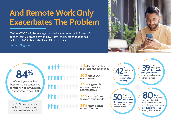# And Remote Work Only Exacerbates The Problem

"Before COVID-19, the average knowledge worker in the U.S. used 10 apps at least 25 times per workday...[Now] the number of apps has ballooned to 13, checked at least 30 times a day."

Fortune Magazine



84%

of employees say their business has introduced one [or more new communication](https://frontapp.com/blog/remote-work-diagnosing-disconnection)  platforms for remote staff

[but 56% say these new](https://frontapp.com/blog/remote-work-diagnosing-disconnection)  tools add more than four hours to their workweek

**.........** 

**41%** feel there are too many communication apps

50% receive 20+ emails a week

32% struggle with miscommunication between teams

32% feel there's now too much correspondence

34% feel there's not enough IT support

42 employeer employees feel their company communicates effectively

[39](https://alight.com/research-insights/employee-communication-coronavirus) % of enough information employees don't receive about what's happening in their business

50 % of<br>the necessary tools and managers do not have resources to support remote workers

[80% of](https://www.bcg.com/publications/2020/valuable-productivity-gains-covid-19)  who are dissatisfied employees with their connectivity to colleagues have seen productivity decline during the pandemic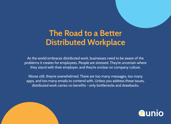### The Road to a Better Distributed Workplace

As the world embraces distributed work, businesses need to be aware of the problems it creates for employees. People are stressed. They're uncertain where they stand with their employer, and they're unclear on company culture.

Worse still, they're overwhelmed. There are too many messages, too many apps, and too many emails to contend with. Unless you address these issues, distributed work carries no benefits - only bottlenecks and drawbacks.



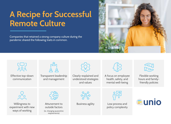# A Recipe for Successful Remote Culture

[Companies that retained a strong company culture during the](https://sloanreview.mit.edu/article/how-companies-are-winning-on-culture-during-covid-19)  pandemic shared the following traits in common.



| ၣၣႍၭ<br>Effective top-down<br>communication              | Transparent leadership<br>and management                                      | Clearly-explained and<br>understood strategies<br>and values | A focus on employee<br>health, safety, and<br>mental well-being | Flexible working<br>hours and family-<br>friendly policies |
|----------------------------------------------------------|-------------------------------------------------------------------------------|--------------------------------------------------------------|-----------------------------------------------------------------|------------------------------------------------------------|
| Willingness to<br>experiment with new<br>ways of working | Attunement to<br>outside factors<br>(ie. changing quarantine<br>requirements) | <b>Business agility</b>                                      | Low process and<br>policy complexity                            | <b>E</b> unio                                              |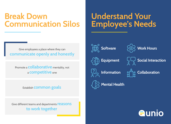#### Break Down Communication Silos

## Understand Your Employee's Needs

Give employees a place where they can [communicate openly and honestly](http://https://www.quantifiedcommunications.com/blog/how-much-of-our-workday-do-we-spend-communicating)

Promote a **collaborative** mentality, not a competitive one

#### Establish **common goals**

Give different teams and departments **reasons** to work together





Work Hours  $\left( 0\right)$ 

Social Interaction

Information





Mental Health

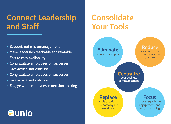#### Connect Leadership and Staff

# **Consolidate** Your Tools

- Support, not micromanagement
- Make leadership reachable and relatable
- Ensure easy availability
- Congratulate employees on successes
- Give advice, not criticism
- Congratulate employees on successes
- Give advice, not criticism
- Engage with employees in decision-making



# **Aunio**